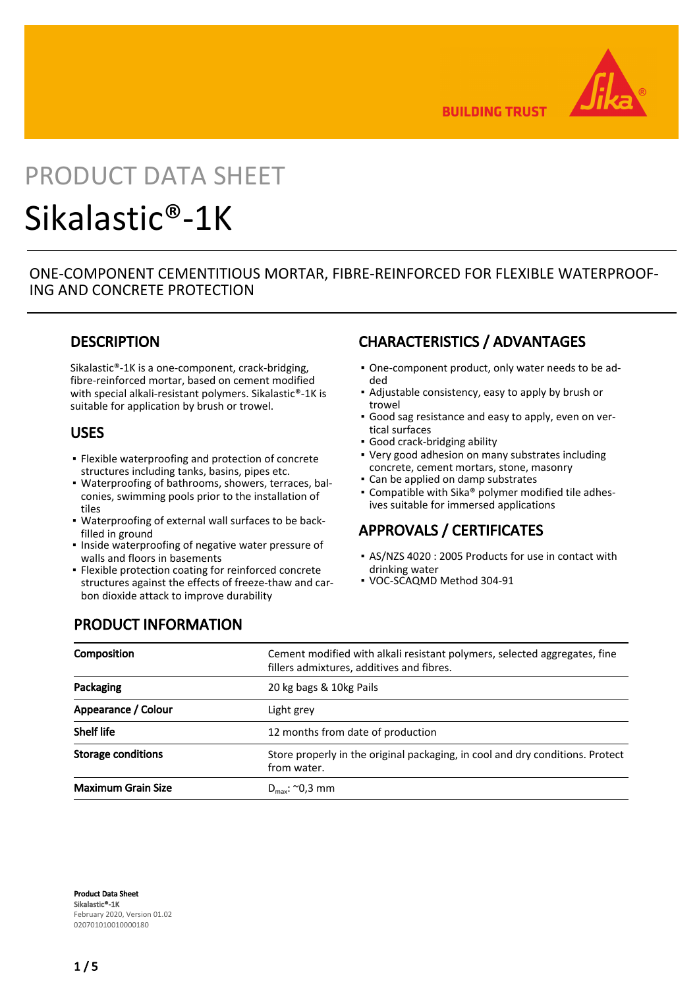

**BUILDING TRUST** 

# PRODUCT DATA SHEET Sikalastic®-1K

## ONE-COMPONENT CEMENTITIOUS MORTAR, FIBRE-REINFORCED FOR FLEXIBLE WATERPROOF-ING AND CONCRETE PROTECTION

## **DESCRIPTION**

Sikalastic®-1K is a one-component, crack-bridging, fibre-reinforced mortar, based on cement modified with special alkali-resistant polymers. Sikalastic®-1K is suitable for application by brush or trowel.

### USES

- Flexible waterproofing and protection of concrete structures including tanks, basins, pipes etc.
- Waterproofing of bathrooms, showers, terraces, bal-▪ conies, swimming pools prior to the installation of tiles
- Waterproofing of external wall surfaces to be back-▪ filled in ground
- **.** Inside waterproofing of negative water pressure of walls and floors in basements
- **•** Flexible protection coating for reinforced concrete structures against the effects of freeze-thaw and carbon dioxide attack to improve durability

# CHARACTERISTICS / ADVANTAGES

- One-component product, only water needs to be ad-▪ ded
- Adjustable consistency, easy to apply by brush or trowel
- Good sag resistance and easy to apply, even on ver-▪ tical surfaces
- Good crack-bridging ability
- Very good adhesion on many substrates including concrete, cement mortars, stone, masonry
- Can be applied on damp substrates
- Compatible with Sika® polymer modified tile adhesives suitable for immersed applications

## APPROVALS / CERTIFICATES

- AS/NZS 4020 : 2005 Products for use in contact with drinking water
- VOC-SCAQMD Method 304-91

# PRODUCT INFORMATION

| Composition               | Cement modified with alkali resistant polymers, selected aggregates, fine<br>fillers admixtures, additives and fibres. |  |  |
|---------------------------|------------------------------------------------------------------------------------------------------------------------|--|--|
| Packaging                 | 20 kg bags & 10kg Pails                                                                                                |  |  |
| Appearance / Colour       | Light grey                                                                                                             |  |  |
| <b>Shelf life</b>         | 12 months from date of production                                                                                      |  |  |
| Storage conditions        | Store properly in the original packaging, in cool and dry conditions. Protect<br>from water.                           |  |  |
| <b>Maximum Grain Size</b> | $D_{\text{max}}$ : ~0,3 mm                                                                                             |  |  |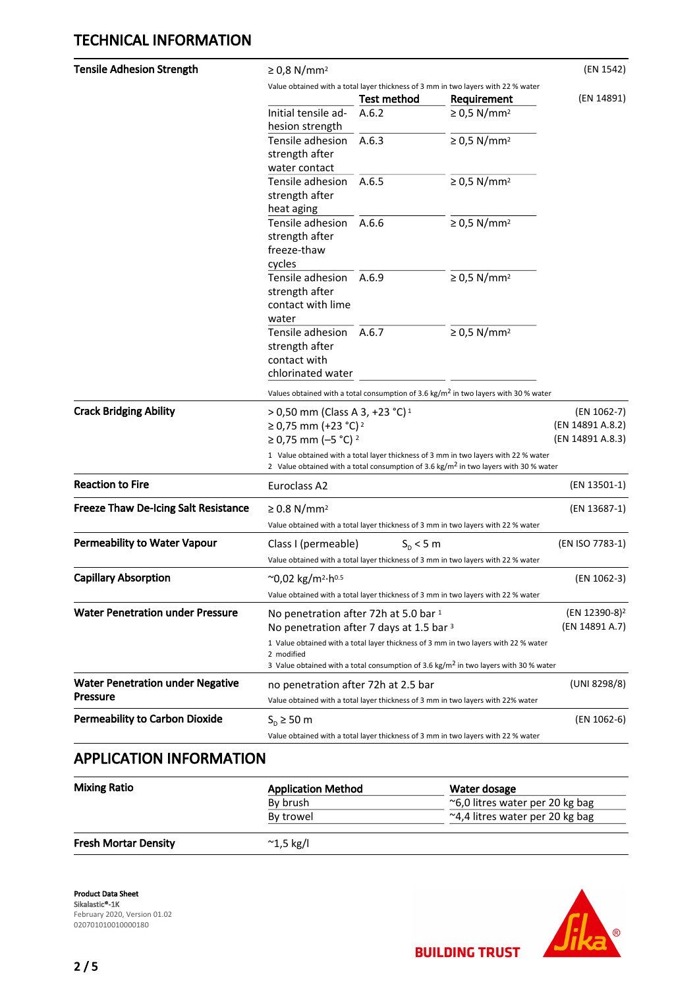| <b>Tensile Adhesion Strength</b>            | $\geq$ 0,8 N/mm <sup>2</sup>                                                                                                                                                            |                    |                              | (EN 1542)        |  |
|---------------------------------------------|-----------------------------------------------------------------------------------------------------------------------------------------------------------------------------------------|--------------------|------------------------------|------------------|--|
|                                             | Value obtained with a total layer thickness of 3 mm in two layers with 22 % water                                                                                                       |                    |                              |                  |  |
|                                             |                                                                                                                                                                                         | <b>Test method</b> | Requirement                  | (EN 14891)       |  |
|                                             | Initial tensile ad-                                                                                                                                                                     | A.6.2              | $\geq$ 0,5 N/mm <sup>2</sup> |                  |  |
|                                             | hesion strength                                                                                                                                                                         |                    |                              |                  |  |
|                                             | Tensile adhesion                                                                                                                                                                        | A.6.3              | $\geq$ 0,5 N/mm <sup>2</sup> |                  |  |
|                                             | strength after                                                                                                                                                                          |                    |                              |                  |  |
|                                             | water contact                                                                                                                                                                           |                    |                              |                  |  |
|                                             | Tensile adhesion                                                                                                                                                                        | A.6.5              | $\geq$ 0,5 N/mm <sup>2</sup> |                  |  |
|                                             | strength after                                                                                                                                                                          |                    |                              |                  |  |
|                                             | heat aging                                                                                                                                                                              |                    |                              |                  |  |
|                                             | Tensile adhesion                                                                                                                                                                        | A.6.6              | $\geq$ 0,5 N/mm <sup>2</sup> |                  |  |
|                                             | strength after                                                                                                                                                                          |                    |                              |                  |  |
|                                             | freeze-thaw                                                                                                                                                                             |                    |                              |                  |  |
|                                             | cycles                                                                                                                                                                                  |                    |                              |                  |  |
|                                             | Tensile adhesion                                                                                                                                                                        | A.6.9              | $\geq$ 0,5 N/mm <sup>2</sup> |                  |  |
|                                             | strength after                                                                                                                                                                          |                    |                              |                  |  |
|                                             |                                                                                                                                                                                         |                    |                              |                  |  |
|                                             | contact with lime                                                                                                                                                                       |                    |                              |                  |  |
|                                             | water                                                                                                                                                                                   |                    |                              |                  |  |
|                                             | Tensile adhesion                                                                                                                                                                        | A.6.7              | $\geq$ 0,5 N/mm <sup>2</sup> |                  |  |
|                                             | strength after                                                                                                                                                                          |                    |                              |                  |  |
|                                             | contact with                                                                                                                                                                            |                    |                              |                  |  |
|                                             | chlorinated water                                                                                                                                                                       |                    |                              |                  |  |
|                                             | Values obtained with a total consumption of 3.6 kg/m <sup>2</sup> in two layers with 30 % water                                                                                         |                    |                              |                  |  |
| <b>Crack Bridging Ability</b>               | (EN 1062-7)<br>> 0,50 mm (Class A 3, +23 °C) <sup>1</sup>                                                                                                                               |                    |                              |                  |  |
|                                             | ≥ 0,75 mm (+23 °C) <sup>2</sup>                                                                                                                                                         |                    |                              | (EN 14891 A.8.2) |  |
|                                             | (EN 14891 A.8.3)<br>≥ 0,75 mm (-5 °C) <sup>2</sup>                                                                                                                                      |                    |                              |                  |  |
|                                             |                                                                                                                                                                                         |                    |                              |                  |  |
|                                             | 1 Value obtained with a total layer thickness of 3 mm in two layers with 22 % water<br>2 Value obtained with a total consumption of 3.6 kg/m <sup>2</sup> in two layers with 30 % water |                    |                              |                  |  |
| <b>Reaction to Fire</b>                     | Euroclass A2                                                                                                                                                                            |                    |                              | (EN 13501-1)     |  |
| <b>Freeze Thaw De-Icing Salt Resistance</b> | $\geq$ 0.8 N/mm <sup>2</sup>                                                                                                                                                            |                    |                              | (EN 13687-1)     |  |
|                                             | Value obtained with a total layer thickness of 3 mm in two layers with 22 % water                                                                                                       |                    |                              |                  |  |
|                                             |                                                                                                                                                                                         |                    |                              |                  |  |
| <b>Permeability to Water Vapour</b>         | (EN ISO 7783-1)<br>Class I (permeable)<br>$S_{D}$ < 5 m                                                                                                                                 |                    |                              |                  |  |
|                                             | Value obtained with a total layer thickness of 3 mm in two layers with 22 % water                                                                                                       |                    |                              |                  |  |
| <b>Capillary Absorption</b>                 | ~0,02 kg/m <sup>2</sup> ·h <sup>0.5</sup><br>(EN 1062-3)                                                                                                                                |                    |                              |                  |  |
|                                             | Value obtained with a total layer thickness of 3 mm in two layers with 22 % water                                                                                                       |                    |                              |                  |  |
| <b>Water Penetration under Pressure</b>     | (EN 12390-8) <sup>2</sup><br>No penetration after 72h at 5.0 bar 1                                                                                                                      |                    |                              |                  |  |
|                                             | No penetration after 7 days at 1.5 bar 3                                                                                                                                                |                    |                              | (EN 14891 A.7)   |  |
|                                             |                                                                                                                                                                                         |                    |                              |                  |  |
|                                             | 1 Value obtained with a total layer thickness of 3 mm in two layers with 22 % water                                                                                                     |                    |                              |                  |  |
|                                             | 2 modified<br>3 Value obtained with a total consumption of 3.6 kg/m <sup>2</sup> in two layers with 30 % water                                                                          |                    |                              |                  |  |
| <b>Water Penetration under Negative</b>     |                                                                                                                                                                                         |                    |                              | (UNI 8298/8)     |  |
| <b>Pressure</b>                             | no penetration after 72h at 2.5 bar                                                                                                                                                     |                    |                              |                  |  |
|                                             | Value obtained with a total layer thickness of 3 mm in two layers with 22% water                                                                                                        |                    |                              |                  |  |
| <b>Permeability to Carbon Dioxide</b>       | $S_{D} \ge 50$ m                                                                                                                                                                        |                    |                              | (EN 1062-6)      |  |
|                                             | Value obtained with a total layer thickness of 3 mm in two layers with 22 % water                                                                                                       |                    |                              |                  |  |

# APPLICATION INFORMATION

| <b>Mixing Ratio</b>         | <b>Application Method</b> | Water dosage                             |  |  |
|-----------------------------|---------------------------|------------------------------------------|--|--|
|                             | By brush                  | $\approx$ 6.0 litres water per 20 kg bag |  |  |
|                             | By trowel                 | $\approx$ 4,4 litres water per 20 kg bag |  |  |
| <b>Fresh Mortar Density</b> | $^{\sim}$ 1,5 kg/l        |                                          |  |  |

Product Data Sheet Sikalastic®-1K February 2020, Version 01.02 020701010010000180



**BUILDING TRUST**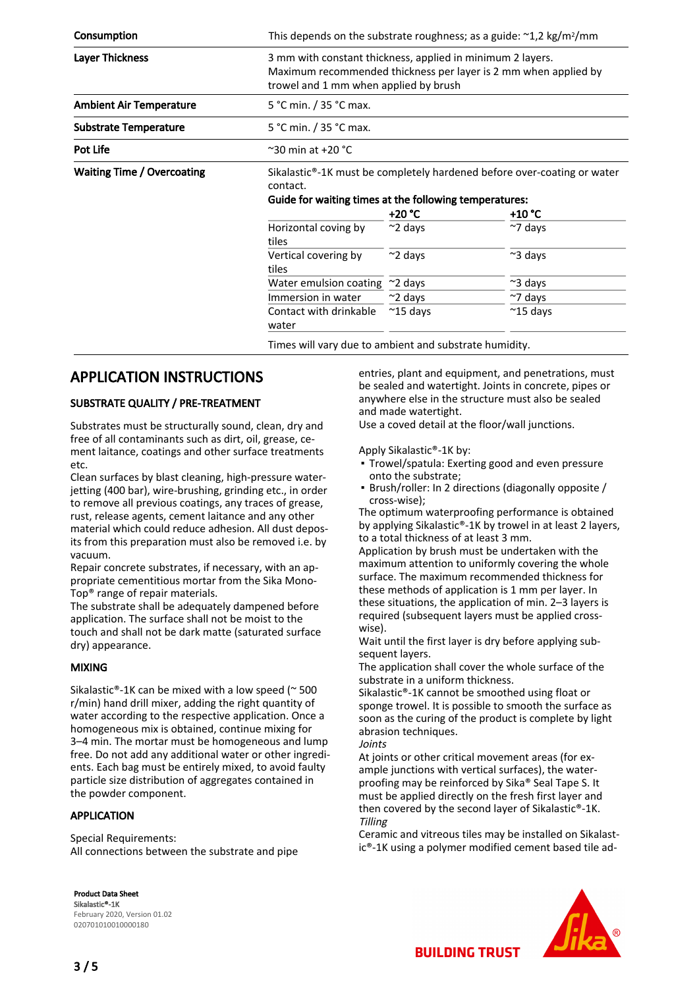| Consumption                       | This depends on the substrate roughness; as a guide: $\approx$ 1,2 kg/m <sup>2</sup> /mm                                                                                         |                    |                    |  |  |
|-----------------------------------|----------------------------------------------------------------------------------------------------------------------------------------------------------------------------------|--------------------|--------------------|--|--|
| <b>Layer Thickness</b>            | 3 mm with constant thickness, applied in minimum 2 layers.<br>Maximum recommended thickness per layer is 2 mm when applied by<br>trowel and 1 mm when applied by brush           |                    |                    |  |  |
| <b>Ambient Air Temperature</b>    | 5 °C min. / 35 °C max.                                                                                                                                                           |                    |                    |  |  |
| <b>Substrate Temperature</b>      | 5 °C min. / 35 °C max.                                                                                                                                                           |                    |                    |  |  |
| Pot Life                          | $\degree$ 30 min at +20 $\degree$ C                                                                                                                                              |                    |                    |  |  |
| <b>Waiting Time / Overcoating</b> | Sikalastic <sup>®</sup> -1K must be completely hardened before over-coating or water<br>contact.<br>Guide for waiting times at the following temperatures:<br>+20 °C<br>$+10 °C$ |                    |                    |  |  |
|                                   | Horizontal coving by<br>tiles                                                                                                                                                    | $~\sim$ 2 days     | $~\sim$ 7 days     |  |  |
|                                   | Vertical covering by<br>tiles                                                                                                                                                    | $\approx$ 2 days   | $~\sim$ 3 days     |  |  |
|                                   | Water emulsion coating                                                                                                                                                           | $~\sim$ 2 days     | $\approx$ 3 days   |  |  |
|                                   | Immersion in water                                                                                                                                                               | $\sim$ 2 days      | $~\sim$ 7 days     |  |  |
|                                   | Contact with drinkable<br>water                                                                                                                                                  | $~^{\sim}$ 15 days | $~^{\sim}$ 15 days |  |  |
|                                   | Times will vary due to ambient and substrate humidity.                                                                                                                           |                    |                    |  |  |

## APPLICATION INSTRUCTIONS

#### SUBSTRATE QUALITY / PRE-TREATMENT

Substrates must be structurally sound, clean, dry and free of all contaminants such as dirt, oil, grease, cement laitance, coatings and other surface treatments etc.

Clean surfaces by blast cleaning, high-pressure waterjetting (400 bar), wire-brushing, grinding etc., in order to remove all previous coatings, any traces of grease, rust, release agents, cement laitance and any other material which could reduce adhesion. All dust deposits from this preparation must also be removed i.e. by vacuum.

Repair concrete substrates, if necessary, with an appropriate cementitious mortar from the Sika Mono-Top® range of repair materials.

The substrate shall be adequately dampened before application. The surface shall not be moist to the touch and shall not be dark matte (saturated surface dry) appearance.

#### MIXING

Sikalastic®-1K can be mixed with a low speed ( $\sim$  500 r/min) hand drill mixer, adding the right quantity of water according to the respective application. Once a homogeneous mix is obtained, continue mixing for 3–4 min. The mortar must be homogeneous and lump free. Do not add any additional water or other ingredients. Each bag must be entirely mixed, to avoid faulty particle size distribution of aggregates contained in the powder component.

#### APPLICATION

Special Requirements: All connections between the substrate and pipe

Product Data Sheet Sikalastic®-1K February 2020, Version 01.02 020701010010000180

entries, plant and equipment, and penetrations, must be sealed and watertight. Joints in concrete, pipes or anywhere else in the structure must also be sealed and made watertight.

Use a coved detail at the floor/wall junctions.

Apply Sikalastic®-1K by:

- **Trowel/spatula: Exerting good and even pressure** onto the substrate;
- Brush/roller: In 2 directions (diagonally opposite / cross-wise);

The optimum waterproofing performance is obtained by applying Sikalastic®-1K by trowel in at least 2 layers, to a total thickness of at least 3 mm.

Application by brush must be undertaken with the maximum attention to uniformly covering the whole surface. The maximum recommended thickness for these methods of application is 1 mm per layer. In these situations, the application of min. 2–3 layers is required (subsequent layers must be applied crosswise).

Wait until the first layer is dry before applying subsequent layers.

The application shall cover the whole surface of the substrate in a uniform thickness.

Sikalastic®-1K cannot be smoothed using float or sponge trowel. It is possible to smooth the surface as soon as the curing of the product is complete by light abrasion techniques.

Joints

At joints or other critical movement areas (for example junctions with vertical surfaces), the waterproofing may be reinforced by Sika® Seal Tape S. It must be applied directly on the fresh first layer and then covered by the second layer of Sikalastic®-1K. Tilling

Ceramic and vitreous tiles may be installed on Sikalastic®-1K using a polymer modified cement based tile ad-



**BUILDING TRUST**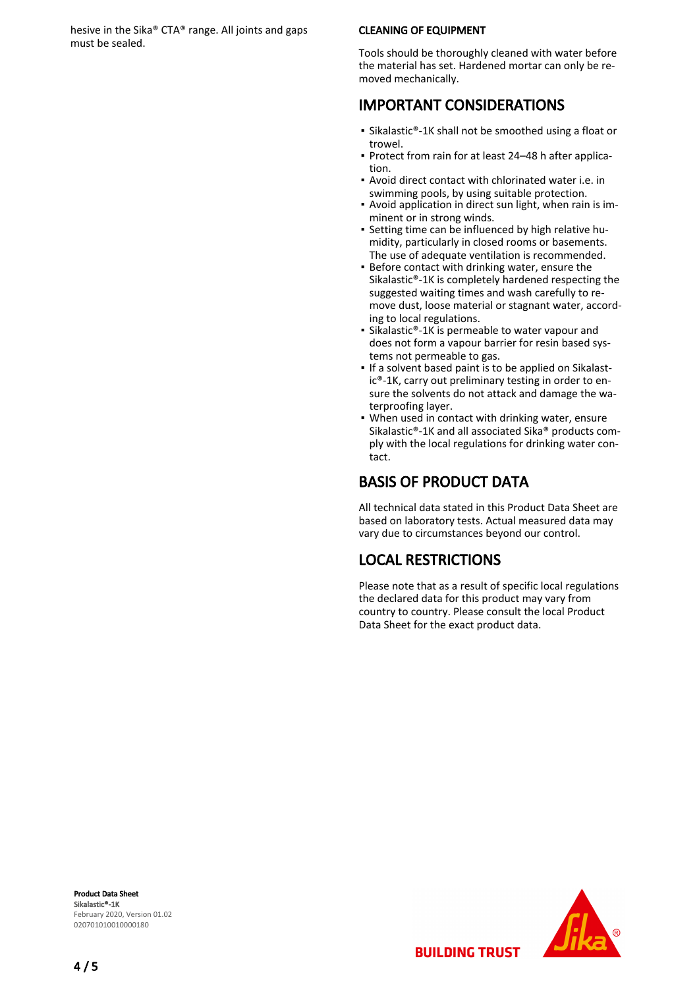hesive in the Sika® CTA® range. All joints and gaps must be sealed.

#### CLEANING OF EQUIPMENT

Tools should be thoroughly cleaned with water before the material has set. Hardened mortar can only be removed mechanically.

## IMPORTANT CONSIDERATIONS

- Sikalastic®-1K shall not be smoothed using a float or trowel.
- Protect from rain for at least 24-48 h after application.
- Avoid direct contact with chlorinated water i.e. in swimming pools, by using suitable protection.
- Avoid application in direct sun light, when rain is im-▪ minent or in strong winds.
- Setting time can be influenced by high relative hu-▪ midity, particularly in closed rooms or basements. The use of adequate ventilation is recommended.
- **Before contact with drinking water, ensure the** Sikalastic®-1K is completely hardened respecting the suggested waiting times and wash carefully to remove dust, loose material or stagnant water, according to local regulations.
- Sikalastic®-1K is permeable to water vapour and does not form a vapour barrier for resin based systems not permeable to gas.
- If a solvent based paint is to be applied on Sikalastic®-1K, carry out preliminary testing in order to ensure the solvents do not attack and damage the waterproofing layer.
- When used in contact with drinking water, ensure Sikalastic®-1K and all associated Sika® products comply with the local regulations for drinking water contact. ▪

# BASIS OF PRODUCT DATA

All technical data stated in this Product Data Sheet are based on laboratory tests. Actual measured data may vary due to circumstances beyond our control.

# LOCAL RESTRICTIONS

Please note that as a result of specific local regulations the declared data for this product may vary from country to country. Please consult the local Product Data Sheet for the exact product data.

**BUILDING TRUST** 

Product Data Sheet Sikalastic®-1K February 2020, Version 01.02 020701010010000180